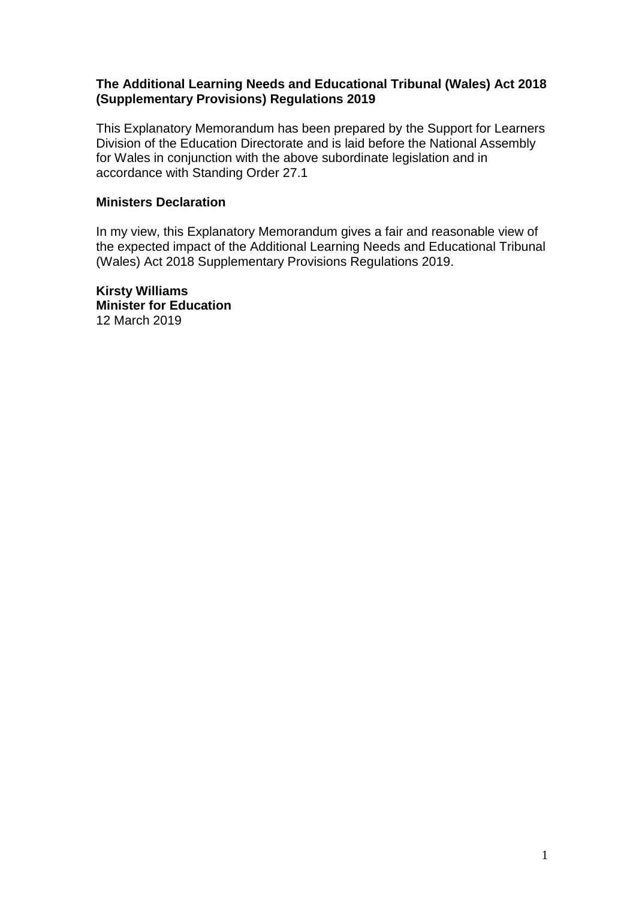#### **The Additional Learning Needs and Educational Tribunal (Wales) Act 2018 (Supplementary Provisions) Regulations 2019**

This Explanatory Memorandum has been prepared by the Support for Learners Division of the Education Directorate and is laid before the National Assembly for Wales in conjunction with the above subordinate legislation and in accordance with Standing Order 27.1

#### **Ministers Declaration**

In my view, this Explanatory Memorandum gives a fair and reasonable view of the expected impact of the Additional Learning Needs and Educational Tribunal (Wales) Act 2018 Supplementary Provisions Regulations 2019.

**Kirsty Williams Minister for Education** 12 March 2019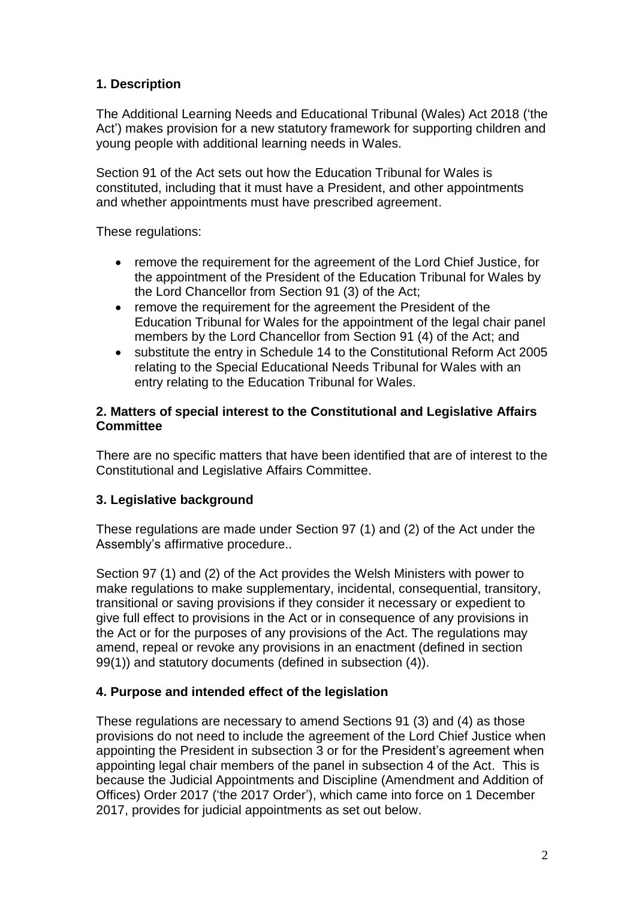# **1. Description**

The Additional Learning Needs and Educational Tribunal (Wales) Act 2018 ('the Act') makes provision for a new statutory framework for supporting children and young people with additional learning needs in Wales.

Section 91 of the Act sets out how the Education Tribunal for Wales is constituted, including that it must have a President, and other appointments and whether appointments must have prescribed agreement.

These regulations:

- remove the requirement for the agreement of the Lord Chief Justice, for the appointment of the President of the Education Tribunal for Wales by the Lord Chancellor from Section 91 (3) of the Act;
- remove the requirement for the agreement the President of the Education Tribunal for Wales for the appointment of the legal chair panel members by the Lord Chancellor from Section 91 (4) of the Act; and
- substitute the entry in Schedule 14 to the Constitutional Reform Act 2005 relating to the Special Educational Needs Tribunal for Wales with an entry relating to the Education Tribunal for Wales.

### **2. Matters of special interest to the Constitutional and Legislative Affairs Committee**

There are no specific matters that have been identified that are of interest to the Constitutional and Legislative Affairs Committee.

## **3. Legislative background**

These regulations are made under Section 97 (1) and (2) of the Act under the Assembly's affirmative procedure..

Section 97 (1) and (2) of the Act provides the Welsh Ministers with power to make regulations to make supplementary, incidental, consequential, transitory, transitional or saving provisions if they consider it necessary or expedient to give full effect to provisions in the Act or in consequence of any provisions in the Act or for the purposes of any provisions of the Act. The regulations may amend, repeal or revoke any provisions in an enactment (defined in section 99(1)) and statutory documents (defined in subsection (4)).

## **4. Purpose and intended effect of the legislation**

These regulations are necessary to amend Sections 91 (3) and (4) as those provisions do not need to include the agreement of the Lord Chief Justice when appointing the President in subsection 3 or for the President's agreement when appointing legal chair members of the panel in subsection 4 of the Act. This is because the Judicial Appointments and Discipline (Amendment and Addition of Offices) Order 2017 ('the 2017 Order'), which came into force on 1 December 2017, provides for judicial appointments as set out below.